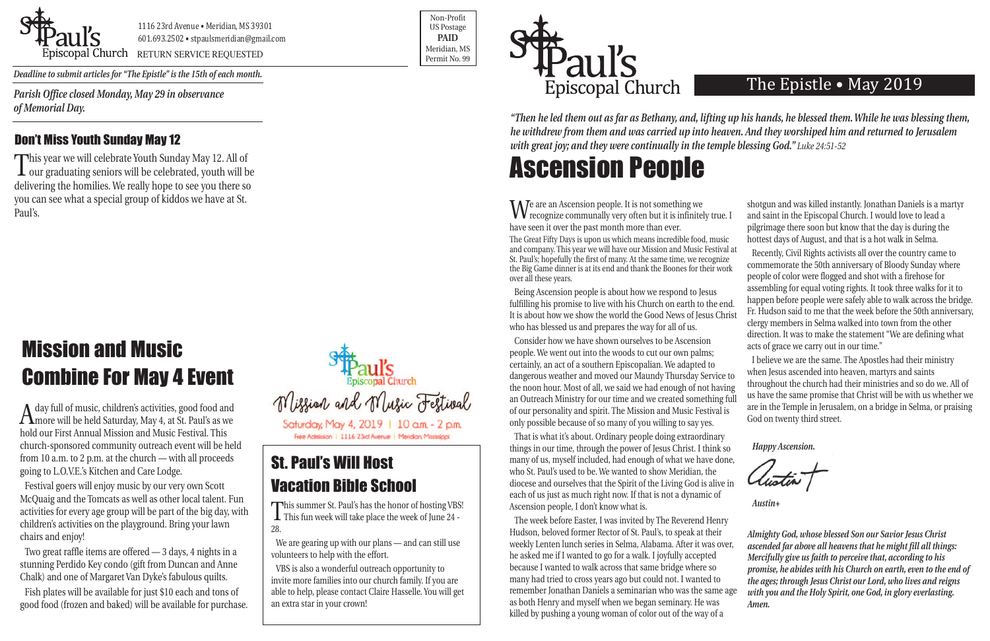

Poscopal Church RETURN SERVICE REQUESTED Research of the permit No. 99

Non-Profit US Postage **PAID** Meridian, MS



*Deadline to submit articles for "The Epistle" is the 15th of each month.* 

## The Epistle • May 2019

A day full of music, children's activities, good food and more will be held Saturday, May 4, at St. Paul's as we hold our First Annual Mission and Music Festival. This church-sponsored community outreach event will be held from 10 a.m. to 2 p.m. at the church — with all proceeds going to L.O.V.E.'s Kitchen and Care Lodge.

Festival goers will enjoy music by our very own Scott McQuaig and the Tomcats as well as other local talent. Fun activities for every age group will be part of the big day, with children's activities on the playground. Bring your lawn chairs and enjoy!

Two great raffle items are offered — 3 days, 4 nights in a stunning Perdido Key condo (gift from Duncan and Anne Chalk) and one of Margaret Van Dyke's fabulous quilts.

Fish plates will be available for just \$10 each and tons of good food (frozen and baked) will be available for purchase.



Free Admission | 1116 23rd Avenue | Meridian, Mississippi

# Mission and Music Combine For May 4 Event

This summer St. Paul's has the honor of hosting VBS!<br>This fun week will take place the week of June 24 -28.

That is what it's about. Ordinary people doing extraordinary things in our time, through the power of Jesus Christ. I think so many of us, myself included, had enough of what we have done, who St. Paul's used to be. We wanted to show Meridian, the diocese and ourselves that the Spirit of the Living God is alive in each of us just as much right now. If that is not a dynamic of Ascension people, I don't know what is.

We are an Ascension people. It is not something we recognize communally very often but it is infinitely true. I have seen it over the past month more than ever. The Great Fifty Days is upon us which means incredible food, music and company. This year we will have our Mission and Music Festival at St. Paul's; hopefully the first of many. At the same time, we recognize the Big Game dinner is at its end and thank the Boones for their work over all these years. Being Ascension people is about how we respond to Jesus fulfilling his promise to live with his Church on earth to the end. It is about how we show the world the Good News of Jesus Christ who has blessed us and prepares the way for all of us. Consider how we have shown ourselves to be Ascension people. We went out into the woods to cut our own palms; shotgun and was killed instantly. Jonathan Daniels is a martyr and saint in the Episcopal Church. I would love to lead a pilgrimage there soon but know that the day is during the hottest days of August, and that is a hot walk in Selma. Recently, Civil Rights activists all over the country came to commemorate the 50th anniversary of Bloody Sunday where people of color were flogged and shot with a firehose for assembling for equal voting rights. It took three walks for it to happen before people were safely able to walk across the bridge. Fr. Hudson said to me that the week before the 50th anniversary, clergy members in Selma walked into town from the other direction. It was to make the statement "We are defining what acts of grace we carry out in our time."

*"Then he led them out as far as Bethany, and, lifting up his hands, he blessed them. While he was blessing them, he withdrew from them and was carried up into heaven. And they worshiped him and returned to Jerusalem with great joy; and they were continually in the temple blessing God." Luke 24:51-52* 

This year we will celebrate Youth Sunday May 12. All of<br>
Tour graduating seniors will be celebrated, youth will be  $\perp$  our graduating seniors will be celebrated, youth will be delivering the homilies. We really hope to see you there so you can see what a special group of kiddos we have at St. Paul's.

> certainly, an act of a southern Episcopalian. We adapted to dangerous weather and moved our Maundy Thursday Service to the noon hour. Most of all, we said we had enough of not having an Outreach Ministry for our time and we created something full of our personality and spirit. The Mission and Music Festival is only possible because of so many of you willing to say yes. I believe we are the same. The Apostles had their ministry when Jesus ascended into heaven, martyrs and saints throughout the church had their ministries and so do we. All of us have the same promise that Christ will be with us whether we are in the Temple in Jerusalem, on a bridge in Selma, or praising God on twenty third street.

> The week before Easter, I was invited by The Reverend Henry Hudson, beloved former Rector of St. Paul's, to speak at their weekly Lenten lunch series in Selma, Alabama. After it was over, he asked me if I wanted to go for a walk. I joyfully accepted because I wanted to walk across that same bridge where so many had tried to cross years ago but could not. I wanted to remember Jonathan Daniels a seminarian who was the same age as both Henry and myself when we began seminary. He was killed by pushing a young woman of color out of the way of a *Almighty God, whose blessed Son our Savior Jesus Christ ascended far above all heavens that he might fill all things: Mercifully give us faith to perceive that, according to his promise, he abides with his Church on earth, even to the end of the ages; through Jesus Christ our Lord, who lives and reigns with you and the Holy Spirit, one God, in glory everlasting. Amen.*

*Happy Ascension.*

*Austin+*

*Parish Office closed Monday, May 29 in observance of Memorial Day.* 

## St. Paul's Will Host Vacation Bible School

We are gearing up with our plans — and can still use volunteers to help with the effort.

VBS is also a wonderful outreach opportunity to invite more families into our church family. If you are able to help, please contact Claire Hasselle. You will get an extra star in your crown!

### Don't Miss Youth Sunday May 12